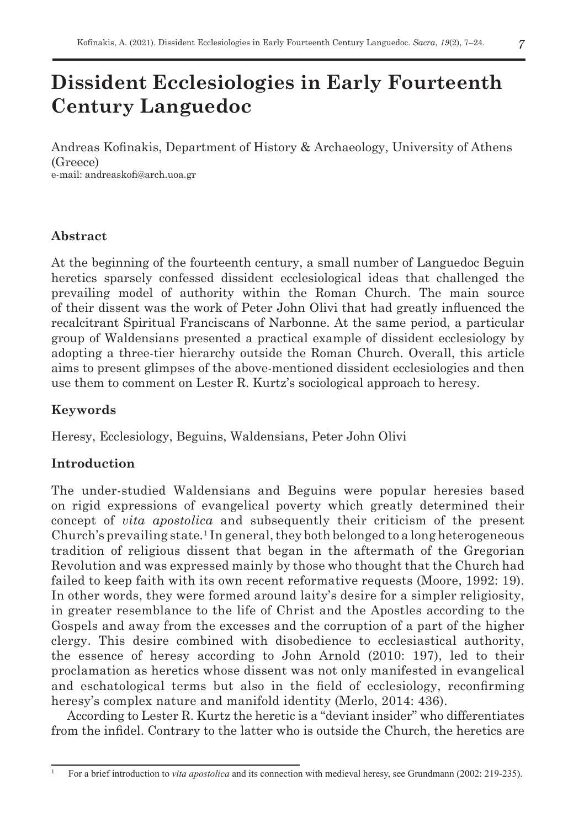# **Dissident Ecclesiologies in Early Fourteenth Century Languedoc**

Andreas Kofinakis, Department of History & Archaeology, University of Athens (Greece) e-mail: andreaskofi@arch.uoa.gr

## **Abstract**

At the beginning of the fourteenth century, a small number of Languedoc Beguin heretics sparsely confessed dissident ecclesiological ideas that challenged the prevailing model of authority within the Roman Church. The main source of their dissent was the work of Peter John Olivi that had greatly influenced the recalcitrant Spiritual Franciscans of Narbonne. At the same period, a particular group of Waldensians presented a practical example of dissident ecclesiology by adopting a three-tier hierarchy outside the Roman Church. Overall, this article aims to present glimpses of the above-mentioned dissident ecclesiologies and then use them to comment on Lester R. Kurtz's sociological approach to heresy.

# **Keywords**

Heresy, Ecclesiology, Beguins, Waldensians, Peter John Olivi

# **Introduction**

The under-studied Waldensians and Beguins were popular heresies based on rigid expressions of evangelical poverty which greatly determined their concept of *vita apostolica* and subsequently their criticism of the present Church's prevailing state*.* <sup>1</sup> In general, they both belonged to a long heterogeneous tradition of religious dissent that began in the aftermath of the Gregorian Revolution and was expressed mainly by those who thought that the Church had failed to keep faith with its own recent reformative requests (Moore, 1992: 19). In other words, they were formed around laity's desire for a simpler religiosity, in greater resemblance to the life of Christ and the Apostles according to the Gospels and away from the excesses and the corruption of a part of the higher clergy. This desire combined with disobedience to ecclesiastical authority, the essence of heresy according to John Arnold (2010: 197), led to their proclamation as heretics whose dissent was not only manifested in evangelical and eschatological terms but also in the field of ecclesiology, reconfirming heresy's complex nature and manifold identity (Merlo, 2014: 436).

According to Lester R. Kurtz the heretic is a "deviant insider" who differentiates from the infidel. Contrary to the latter who is outside the Church, the heretics are

<sup>1</sup> For a brief introduction to *vita apostolica* and its connection with medieval heresy, see Grundmann (2002: 219-235).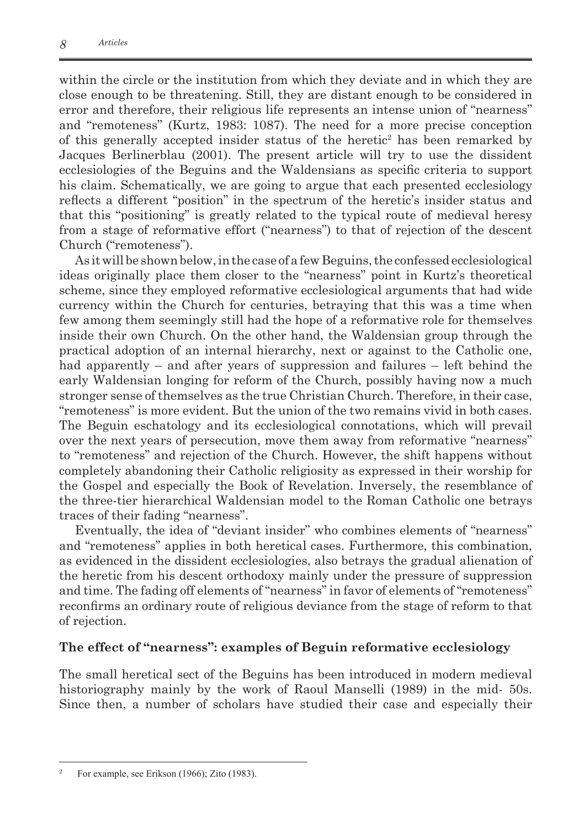within the circle or the institution from which they deviate and in which they are close enough to be threatening. Still, they are distant enough to be considered in error and therefore, their religious life represents an intense union of "nearness" and "remoteness" (Kurtz, 1983: 1087). The need for a more precise conception of this generally accepted insider status of the heretic<sup>2</sup> has been remarked by Jacques Berlinerblau (2001). The present article will try to use the dissident ecclesiologies of the Beguins and the Waldensians as specific criteria to support his claim. Schematically, we are going to argue that each presented ecclesiology reflects a different "position" in the spectrum of the heretic's insider status and that this "positioning" is greatly related to the typical route of medieval heresy from a stage of reformative effort ("nearness") to that of rejection of the descent Church ("remoteness").

As it will be shown below, in the case of a few Beguins, the confessed ecclesiological ideas originally place them closer to the "nearness" point in Kurtz's theoretical scheme, since they employed reformative ecclesiological arguments that had wide currency within the Church for centuries, betraying that this was a time when few among them seemingly still had the hope of a reformative role for themselves inside their own Church. On the other hand, the Waldensian group through the practical adoption of an internal hierarchy, next or against to the Catholic one, had apparently – and after years of suppression and failures – left behind the early Waldensian longing for reform of the Church, possibly having now a much stronger sense of themselves as the true Christian Church. Therefore, in their case, "remoteness" is more evident. But the union of the two remains vivid in both cases. The Beguin eschatology and its ecclesiological connotations, which will prevail over the next years of persecution, move them away from reformative "nearness" to "remoteness" and rejection of the Church. However, the shift happens without completely abandoning their Catholic religiosity as expressed in their worship for the Gospel and especially the Book of Revelation. Inversely, the resemblance of the three-tier hierarchical Waldensian model to the Roman Catholic one betrays traces of their fading "nearness".

Eventually, the idea of "deviant insider" who combines elements of "nearness" and "remoteness" applies in both heretical cases. Furthermore, this combination, as evidenced in the dissident ecclesiologies, also betrays the gradual alienation of the heretic from his descent orthodoxy mainly under the pressure of suppression and time. The fading off elements of "nearness" in favor of elements of "remoteness" reconfirms an ordinary route of religious deviance from the stage of reform to that of rejection.

## **The effect of "nearness": examples of Beguin reformative ecclesiology**

The small heretical sect of the Beguins has been introduced in modern medieval historiography mainly by the work of Raoul Manselli (1989) in the mid- 50s. Since then, a number of scholars have studied their case and especially their

For example, see Erikson (1966); Zito (1983).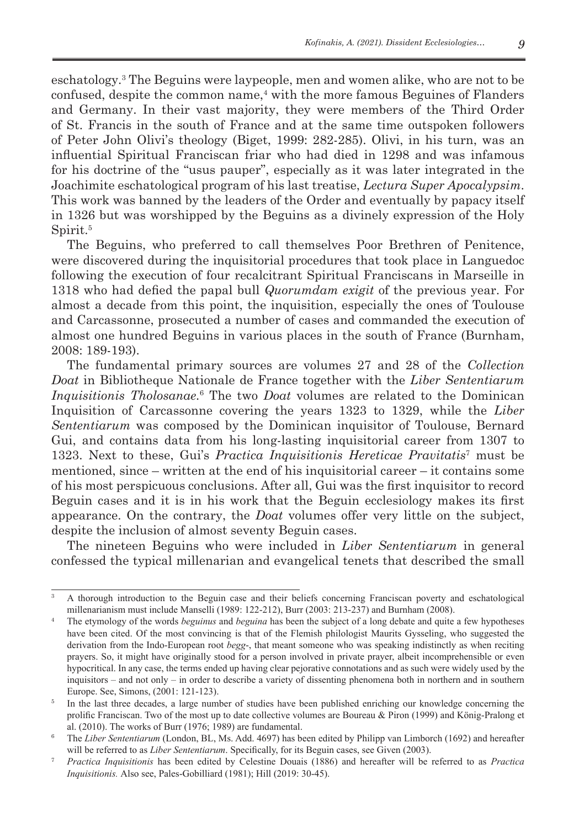eschatology.<sup>3</sup> The Beguins were laypeople, men and women alike, who are not to be confused, despite the common name,<sup>4</sup> with the more famous Beguines of Flanders and Germany. In their vast majority, they were members of the Third Order of St. Francis in the south of France and at the same time outspoken followers of Peter John Olivi's theology (Biget, 1999: 282-285). Olivi, in his turn, was an influential Spiritual Franciscan friar who had died in 1298 and was infamous for his doctrine of the "usus pauper", especially as it was later integrated in the Joachimite eschatological program of his last treatise, *Lectura Super Apocalypsim*. This work was banned by the leaders of the Order and eventually by papacy itself in 1326 but was worshipped by the Beguins as a divinely expression of the Holy Spirit.<sup>5</sup>

The Beguins, who preferred to call themselves Poor Brethren of Penitence, were discovered during the inquisitorial procedures that took place in Languedoc following the execution of four recalcitrant Spiritual Franciscans in Marseille in 1318 who had defied the papal bull *Quorumdam exigit* of the previous year. For almost a decade from this point, the inquisition, especially the ones of Toulouse and Carcassonne, prosecuted a number of cases and commanded the execution of almost one hundred Beguins in various places in the south of France (Burnham, 2008: 189-193).

The fundamental primary sources are volumes 27 and 28 of the *Collection Doat* in Bibliotheque Nationale de France together with the *Liber Sententiarum Inquisitionis Tholosanae.*<sup>6</sup> The two *Doat* volumes are related to the Dominican Inquisition of Carcassonne covering the years 1323 to 1329, while the *Liber Sententiarum* was composed by the Dominican inquisitor of Toulouse, Bernard Gui, and contains data from his long-lasting inquisitorial career from 1307 to 1323. Next to these, Gui's *Practica Inquisitionis Hereticae Pravitatis*<sup>7</sup> must be mentioned, since – written at the end of his inquisitorial career – it contains some of his most perspicuous conclusions. After all, Gui was the first inquisitor to record Beguin cases and it is in his work that the Beguin ecclesiology makes its first appearance. On the contrary, the *Doat* volumes offer very little on the subject, despite the inclusion of almost seventy Beguin cases.

The nineteen Beguins who were included in *Liber Sententiarum* in general confessed the typical millenarian and evangelical tenets that described the small

<sup>3</sup> A thorough introduction to the Beguin case and their beliefs concerning Franciscan poverty and eschatological millenarianism must include Manselli (1989: 122-212), Burr (2003: 213-237) and Burnham (2008).

<sup>4</sup> The etymology of the words *beguinus* and *beguina* has been the subject of a long debate and quite a few hypotheses have been cited. Of the most convincing is that of the Flemish philologist Maurits Gysseling, who suggested the derivation from the Indo-European root *begg*-, that meant someone who was speaking indistinctly as when reciting prayers. So, it might have originally stood for a person involved in private prayer, albeit incomprehensible or even hypocritical. In any case, the terms ended up having clear pejorative connotations and as such were widely used by the inquisitors – and not only – in order to describe a variety of dissenting phenomena both in northern and in southern Europe. See, Simons, (2001: 121-123).

<sup>&</sup>lt;sup>5</sup> In the last three decades, a large number of studies have been published enriching our knowledge concerning the prolific Franciscan. Two of the most up to date collective volumes are Boureau & Piron (1999) and König-Pralong et al. (2010). The works of Burr (1976; 1989) are fundamental.

<sup>6</sup> The *Liber Sententiarum* (London, BL, Ms. Add. 4697) has been edited by Philipp van Limborch (1692) and hereafter will be referred to as *Liber Sententiarum*. Specifically, for its Beguin cases, see Given (2003).

<sup>7</sup> *Practica Inquisitionis* has been edited by Celestine Douais (1886) and hereafter will be referred to as *Practica Inquisitionis.* Also see, Pales-Gobilliard (1981); Hill (2019: 30-45).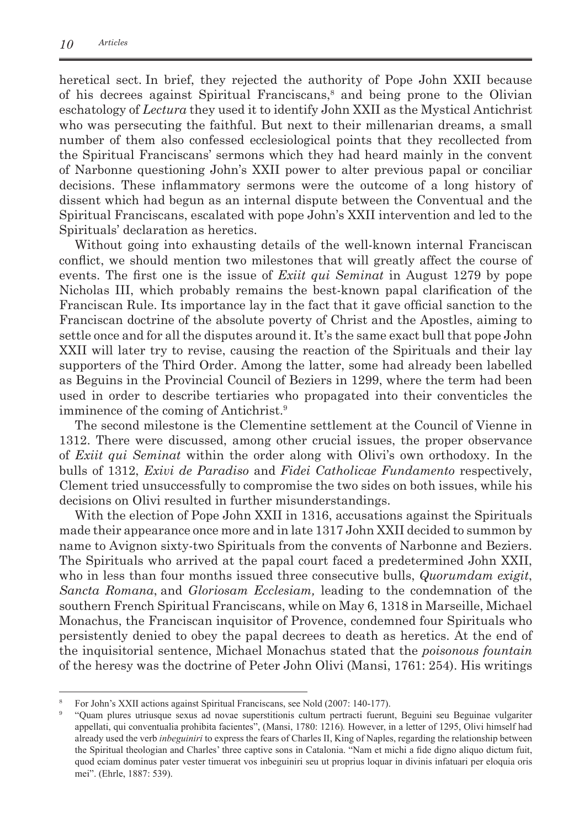heretical sect. In brief, they rejected the authority of Pope John XXII because of his decrees against Spiritual Franciscans,<sup>8</sup> and being prone to the Olivian eschatology of *Lectura* they used it to identify John XXII as the Mystical Antichrist who was persecuting the faithful. But next to their millenarian dreams, a small number of them also confessed ecclesiological points that they recollected from the Spiritual Franciscans' sermons which they had heard mainly in the convent of Narbonne questioning John's XXII power to alter previous papal or conciliar decisions. These inflammatory sermons were the outcome of a long history of dissent which had begun as an internal dispute between the Conventual and the Spiritual Franciscans, escalated with pope John's XXII intervention and led to the Spirituals' declaration as heretics.

Without going into exhausting details of the well-known internal Franciscan conflict, we should mention two milestones that will greatly affect the course of events. The first one is the issue of *Exiit qui Seminat* in August 1279 by pope Nicholas III, which probably remains the best-known papal clarification of the Franciscan Rule. Its importance lay in the fact that it gave official sanction to the Franciscan doctrine of the absolute poverty of Christ and the Apostles, aiming to settle once and for all the disputes around it. It's the same exact bull that pope John XXII will later try to revise, causing the reaction of the Spirituals and their lay supporters of the Third Order. Among the latter, some had already been labelled as Beguins in the Provincial Council of Beziers in 1299, where the term had been used in order to describe tertiaries who propagated into their conventicles the imminence of the coming of Antichrist.<sup>9</sup>

The second milestone is the Clementine settlement at the Council of Vienne in 1312. There were discussed, among other crucial issues, the proper observance of *Exiit qui Seminat* within the order along with Olivi's own orthodoxy. In the bulls of 1312, *Exivi de Paradiso* and *Fidei Catholicae Fundamento* respectively, Clement tried unsuccessfully to compromise the two sides on both issues, while his decisions on Olivi resulted in further misunderstandings.

With the election of Pope John XXII in 1316, accusations against the Spirituals made their appearance once more and in late 1317 John XXII decided to summon by name to Avignon sixty-two Spirituals from the convents of Narbonne and Beziers. The Spirituals who arrived at the papal court faced a predetermined John XXII, who in less than four months issued three consecutive bulls, *Quorumdam exigit*, *Sancta Romana*, and *Gloriosam Ecclesiam,* leading to the condemnation of the southern French Spiritual Franciscans, while on May 6, 1318 in Marseille, Michael Monachus, the Franciscan inquisitor of Provence, condemned four Spirituals who persistently denied to obey the papal decrees to death as heretics. At the end of the inquisitorial sentence, Michael Monachus stated that the *poisonous fountain* of the heresy was the doctrine of Peter John Olivi (Mansi, 1761: 254). His writings

<sup>&</sup>lt;sup>8</sup> For John's XXII actions against Spiritual Franciscans, see Nold (2007: 140-177).

<sup>9</sup> "Quam plures utriusque sexus ad novae superstitionis cultum pertracti fuerunt, Beguini seu Beguinae vulgariter appellati, qui conventualia prohibita facientes", (Mansi, 1780: 1216)*.* However, in a letter of 1295, Olivi himself had already used the verb *inbeguiniri* to express the fears of Charles II, King of Naples, regarding the relationship between the Spiritual theologian and Charles' three captive sons in Catalonia. "Nam et michi a fide digno aliquo dictum fuit, quod eciam dominus pater vester timuerat vos inbeguiniri seu ut proprius loquar in divinis infatuari per eloquia oris mei". (Ehrle, 1887: 539).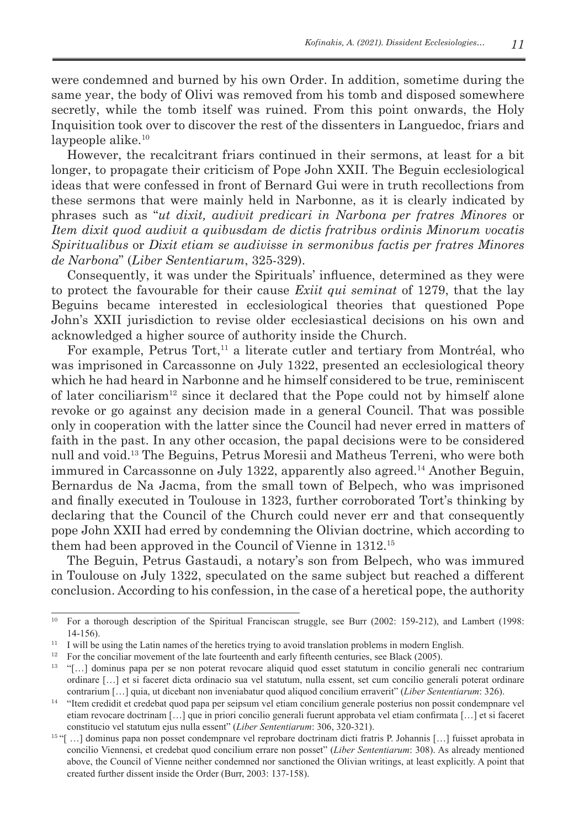were condemned and burned by his own Order. In addition, sometime during the same year, the body of Olivi was removed from his tomb and disposed somewhere secretly, while the tomb itself was ruined. From this point onwards, the Holy Inquisition took over to discover the rest of the dissenters in Languedoc, friars and laypeople alike.<sup>10</sup>

However, the recalcitrant friars continued in their sermons, at least for a bit longer, to propagate their criticism of Pope John XXII. The Beguin ecclesiological ideas that were confessed in front of Bernard Gui were in truth recollections from these sermons that were mainly held in Narbonne, as it is clearly indicated by phrases such as "*ut dixit, audivit predicari in Narbona per fratres Minores* or *Item dixit quod audivit a quibusdam de dictis fratribus ordinis Minorum vocatis Spiritualibus* or *Dixit etiam se audivisse in sermonibus factis per fratres Minores de Narbona*" (*Liber Sententiarum*, 325-329).

Consequently, it was under the Spirituals' influence, determined as they were to protect the favourable for their cause *Exiit qui seminat* of 1279, that the lay Beguins became interested in ecclesiological theories that questioned Pope John's XXII jurisdiction to revise older ecclesiastical decisions on his own and acknowledged a higher source of authority inside the Church.

For example, Petrus Tort, $11$  a literate cutler and tertiary from Montréal, who was imprisoned in Carcassonne on July 1322, presented an ecclesiological theory which he had heard in Narbonne and he himself considered to be true, reminiscent of later conciliarism<sup>12</sup> since it declared that the Pope could not by himself alone revoke or go against any decision made in a general Council. That was possible only in cooperation with the latter since the Council had never erred in matters of faith in the past. In any other occasion, the papal decisions were to be considered null and void.13 The Beguins, Petrus Moresii and Matheus Terreni, who were both immured in Carcassonne on July 1322, apparently also agreed.14 Another Beguin, Bernardus de Na Jacma, from the small town of Belpech, who was imprisoned and finally executed in Toulouse in 1323, further corroborated Tort's thinking by declaring that the Council of the Church could never err and that consequently pope John XXII had erred by condemning the Olivian doctrine, which according to them had been approved in the Council of Vienne in 1312.15

The Beguin, Petrus Gastaudi, a notary's son from Belpech, who was immured in Toulouse on July 1322, speculated on the same subject but reached a different conclusion. According to his confession, in the case of a heretical pope, the authority

<sup>&</sup>lt;sup>10</sup> For a thorough description of the Spiritual Franciscan struggle, see Burr (2002: 159-212), and Lambert (1998: 14-156).

<sup>&</sup>lt;sup>11</sup> I will be using the Latin names of the heretics trying to avoid translation problems in modern English.

<sup>&</sup>lt;sup>12</sup> For the conciliar movement of the late fourteenth and early fifteenth centuries, see Black (2005).<br><sup>13</sup>  $H_{1}$  dominus none not so non potent reveases alimid and esset statutum in consilia can

<sup>13</sup>"[…] dominus papa per se non poterat revocare aliquid quod esset statutum in concilio generali nec contrarium ordinare […] et si faceret dicta ordinacio sua vel statutum, nulla essent, set cum concilio generali poterat ordinare contrarium […] quia, ut dicebant non inveniabatur quod aliquod concilium erraverit" (*Liber Sententiarum*: 326).

<sup>14</sup> "Item credidit et credebat quod papa per seipsum vel etiam concilium generale posterius non possit condempnare vel etiam revocare doctrinam […] que in priori concilio generali fuerunt approbata vel etiam confirmata […] et si faceret constitucio vel statutum ejus nulla essent" (*Liber Sententiarum*: 306, 320-321).

<sup>15&</sup>quot;[ ...] dominus papa non posset condempnare vel reprobare doctrinam dicti fratris P. Johannis [...] fuisset aprobata in concilio Viennensi, et credebat quod concilium errare non posset" (*Liber Sententiarum*: 308). As already mentioned above, the Council of Vienne neither condemned nor sanctioned the Olivian writings, at least explicitly. A point that created further dissent inside the Order (Burr, 2003: 137-158).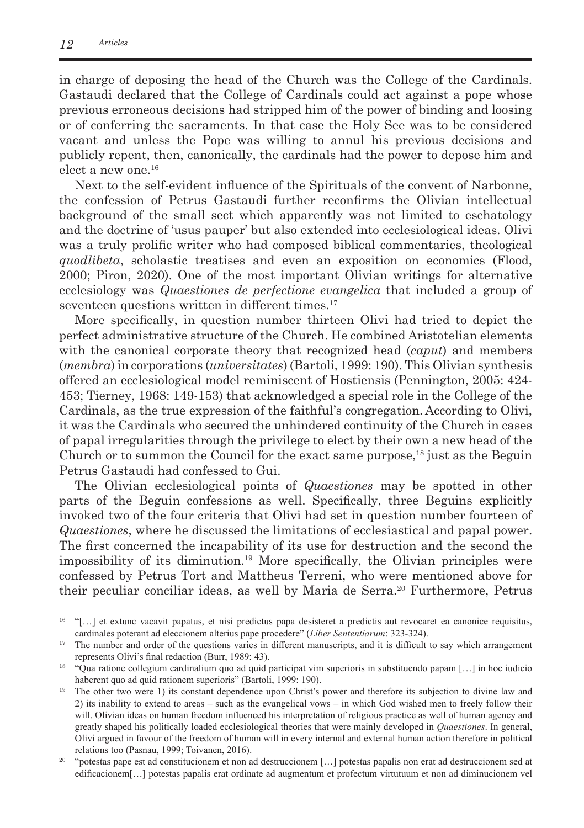in charge of deposing the head of the Church was the College of the Cardinals. Gastaudi declared that the College of Cardinals could act against a pope whose previous erroneous decisions had stripped him of the power of binding and loosing or of conferring the sacraments. In that case the Holy See was to be considered vacant and unless the Pope was willing to annul his previous decisions and publicly repent, then, canonically, the cardinals had the power to depose him and elect a new one.<sup>16</sup>

Next to the self-evident influence of the Spirituals of the convent of Narbonne, the confession of Petrus Gastaudi further reconfirms the Olivian intellectual background of the small sect which apparently was not limited to eschatology and the doctrine of 'usus pauper' but also extended into ecclesiological ideas. Olivi was a truly prolific writer who had composed biblical commentaries, theological *quodlibeta*, scholastic treatises and even an exposition on economics (Flood, 2000; Piron, 2020). One of the most important Olivian writings for alternative ecclesiology was *Quaestiones de perfectione evangelica* that included a group of seventeen questions written in different times.<sup>17</sup>

More specifically, in question number thirteen Olivi had tried to depict the perfect administrative structure of the Church. He combined Aristotelian elements with the canonical corporate theory that recognized head (*caput*) and members (*membra*) in corporations (*universitates*) (Bartoli, 1999: 190). This Olivian synthesis offered an ecclesiological model reminiscent of Hostiensis (Pennington, 2005: 424- 453; Tierney, 1968: 149-153) that acknowledged a special role in the College of the Cardinals, as the true expression of the faithful's congregation. According to Olivi, it was the Cardinals who secured the unhindered continuity of the Church in cases of papal irregularities through the privilege to elect by their own a new head of the Church or to summon the Council for the exact same purpose,  $18$  just as the Beguin Petrus Gastaudi had confessed to Gui.

The Olivian ecclesiological points of *Quaestiones* may be spotted in other parts of the Beguin confessions as well. Specifically, three Beguins explicitly invoked two of the four criteria that Olivi had set in question number fourteen of *Quaestiones*, where he discussed the limitations of ecclesiastical and papal power. The first concerned the incapability of its use for destruction and the second the impossibility of its diminution.19 More specifically, the Olivian principles were confessed by Petrus Tort and Mattheus Terreni, who were mentioned above for their peculiar conciliar ideas, as well by Maria de Serra.<sup>20</sup> Furthermore, Petrus

<sup>16</sup>"[…] et extunc vacavit papatus, et nisi predictus papa desisteret a predictis aut revocaret ea canonice requisitus, cardinales poterant ad eleccionem alterius pape procedere" (*Liber Sententiarum*: 323-324).

<sup>&</sup>lt;sup>17</sup> The number and order of the questions varies in different manuscripts, and it is difficult to say which arrangement represents Olivi's final redaction (Burr, 1989: 43).

<sup>&</sup>lt;sup>18</sup> "Qua ratione collegium cardinalium quo ad quid participat vim superioris in substituendo papam [...] in hoc iudicio haberent quo ad quid rationem superioris" (Bartoli, 1999: 190).

<sup>&</sup>lt;sup>19</sup> The other two were 1) its constant dependence upon Christ's power and therefore its subjection to divine law and 2) its inability to extend to areas – such as the evangelical vows – in which God wished men to freely follow their will. Olivian ideas on human freedom influenced his interpretation of religious practice as well of human agency and greatly shaped his politically loaded ecclesiological theories that were mainly developed in *Quaestiones*. In general, Olivi argued in favour of the freedom of human will in every internal and external human action therefore in political relations too (Pasnau, 1999; Toivanen, 2016).

<sup>&</sup>lt;sup>20</sup> "potestas pape est ad constitucionem et non ad destruccionem [...] potestas papalis non erat ad destruccionem sed at edificacionem[…] potestas papalis erat ordinate ad augmentum et profectum virtutuum et non ad diminucionem vel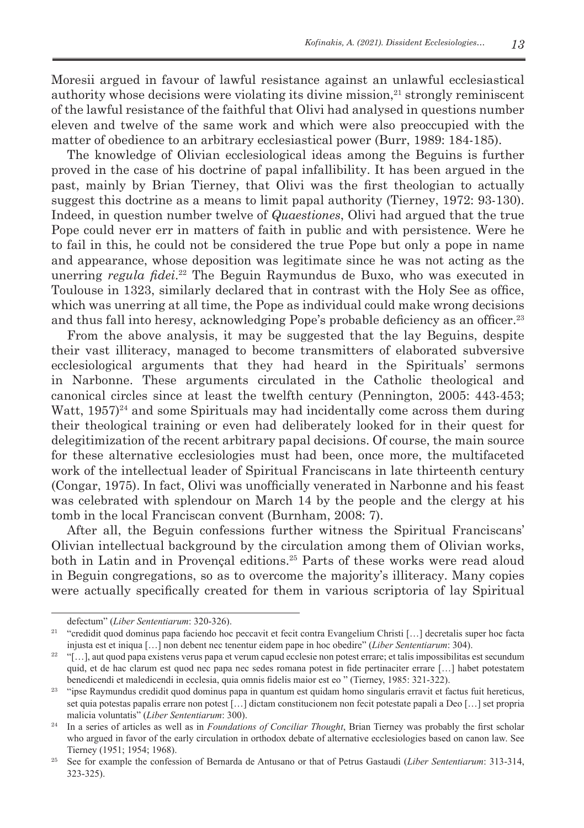Moresii argued in favour of lawful resistance against an unlawful ecclesiastical authority whose decisions were violating its divine mission, $^{21}$  strongly reminiscent of the lawful resistance of the faithful that Olivi had analysed in questions number eleven and twelve of the same work and which were also preoccupied with the matter of obedience to an arbitrary ecclesiastical power (Burr, 1989: 184-185).

The knowledge of Olivian ecclesiological ideas among the Beguins is further proved in the case of his doctrine of papal infallibility. It has been argued in the past, mainly by Brian Tierney, that Olivi was the first theologian to actually suggest this doctrine as a means to limit papal authority (Tierney, 1972: 93-130). Indeed, in question number twelve of *Quaestiones*, Olivi had argued that the true Pope could never err in matters of faith in public and with persistence. Were he to fail in this, he could not be considered the true Pope but only a pope in name and appearance, whose deposition was legitimate since he was not acting as the unerring *regula fidei*. <sup>22</sup> The Beguin Raymundus de Buxo, who was executed in Toulouse in 1323, similarly declared that in contrast with the Holy See as office, which was unerring at all time, the Pope as individual could make wrong decisions and thus fall into heresy, acknowledging Pope's probable deficiency as an officer. 23

From the above analysis, it may be suggested that the lay Beguins, despite their vast illiteracy, managed to become transmitters of elaborated subversive ecclesiological arguments that they had heard in the Spirituals' sermons in Narbonne. These arguments circulated in the Catholic theological and canonical circles since at least the twelfth century (Pennington, 2005: 443-453; Watt,  $1957$ <sup>24</sup> and some Spirituals may had incidentally come across them during their theological training or even had deliberately looked for in their quest for delegitimization of the recent arbitrary papal decisions. Of course, the main source for these alternative ecclesiologies must had been, once more, the multifaceted work of the intellectual leader of Spiritual Franciscans in late thirteenth century (Congar, 1975). In fact, Olivi was unofficially venerated in Narbonne and his feast was celebrated with splendour on March 14 by the people and the clergy at his tomb in the local Franciscan convent (Burnham, 2008: 7).

After all, the Beguin confessions further witness the Spiritual Franciscans' Olivian intellectual background by the circulation among them of Olivian works, both in Latin and in Provençal editions.25 Parts of these works were read aloud in Beguin congregations, so as to overcome the majority's illiteracy. Many copies were actually specifically created for them in various scriptoria of lay Spiritual

defectum" (*Liber Sententiarum*: 320-326).

<sup>&</sup>lt;sup>21</sup> "credidit quod dominus papa faciendo hoc peccavit et fecit contra Evangelium Christi [...] decretalis super hoc facta injusta est et iniqua […] non debent nec tenentur eidem pape in hoc obedire" (*Liber Sententiarum*: 304).

 $22$  "[...], aut quod papa existens verus papa et verum capud ecclesie non potest errare; et talis impossibilitas est secundum quid, et de hac clarum est quod nec papa nec sedes romana potest in fide pertinaciter errare […] habet potestatem benedicendi et maledicendi in ecclesia, quia omnis fidelis maior est eo " (Tierney, 1985: 321-322).

<sup>&</sup>lt;sup>23</sup> "ipse Raymundus credidit quod dominus papa in quantum est quidam homo singularis erravit et factus fuit hereticus, set quia potestas papalis errare non potest […] dictam constitucionem non fecit potestate papali a Deo […] set propria malicia voluntatis" (*Liber Sententiarum*: 300).

<sup>&</sup>lt;sup>24</sup> In a series of articles as well as in *Foundations of Conciliar Thought*, Brian Tierney was probably the first scholar who argued in favor of the early circulation in orthodox debate of alternative ecclesiologies based on canon law. See Tierney (1951; 1954; 1968).

<sup>25</sup> See for example the confession of Bernarda de Antusano or that of Petrus Gastaudi (*Liber Sententiarum*: 313-314, 323-325).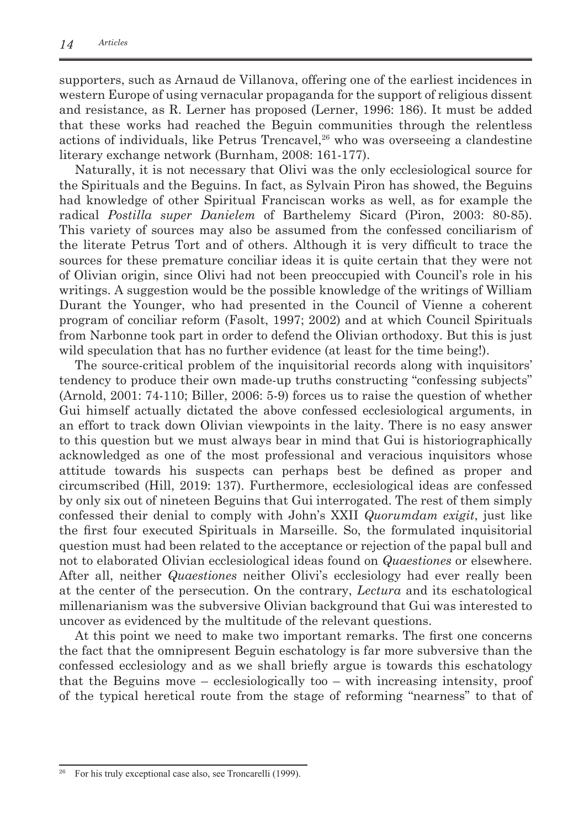supporters, such as Arnaud de Villanova, offering one of the earliest incidences in western Europe of using vernacular propaganda for the support of religious dissent and resistance, as R. Lerner has proposed (Lerner, 1996: 186). It must be added that these works had reached the Beguin communities through the relentless actions of individuals, like Petrus Trencavel,<sup>26</sup> who was overseeing a clandestine literary exchange network (Burnham, 2008: 161-177).

Naturally, it is not necessary that Olivi was the only ecclesiological source for the Spirituals and the Beguins. In fact, as Sylvain Piron has showed, the Beguins had knowledge of other Spiritual Franciscan works as well, as for example the radical *Postilla super Danielem* of Barthelemy Sicard (Piron, 2003: 80-85). This variety of sources may also be assumed from the confessed conciliarism of the literate Petrus Tort and of others. Although it is very difficult to trace the sources for these premature conciliar ideas it is quite certain that they were not of Olivian origin, since Olivi had not been preoccupied with Council's role in his writings. A suggestion would be the possible knowledge of the writings of William Durant the Younger, who had presented in the Council of Vienne a coherent program of conciliar reform (Fasolt, 1997; 2002) and at which Council Spirituals from Narbonne took part in order to defend the Olivian orthodoxy. But this is just wild speculation that has no further evidence (at least for the time being!).

The source-critical problem of the inquisitorial records along with inquisitors' tendency to produce their own made-up truths constructing "confessing subjects" (Arnold, 2001: 74-110; Biller, 2006: 5-9) forces us to raise the question of whether Gui himself actually dictated the above confessed ecclesiological arguments, in an effort to track down Olivian viewpoints in the laity. There is no easy answer to this question but we must always bear in mind that Gui is historiographically acknowledged as one of the most professional and veracious inquisitors whose attitude towards his suspects can perhaps best be defined as proper and circumscribed (Hill, 2019: 137). Furthermore, ecclesiological ideas are confessed by only six out of nineteen Beguins that Gui interrogated. The rest of them simply confessed their denial to comply with John's XXII *Quorumdam exigit*, just like the first four executed Spirituals in Marseille. So, the formulated inquisitorial question must had been related to the acceptance or rejection of the papal bull and not to elaborated Olivian ecclesiological ideas found on *Quaestiones* or elsewhere. After all, neither *Quaestiones* neither Olivi's ecclesiology had ever really been at the center of the persecution. On the contrary, *Lectura* and its eschatological millenarianism was the subversive Olivian background that Gui was interested to uncover as evidenced by the multitude of the relevant questions.

At this point we need to make two important remarks. The first one concerns the fact that the omnipresent Beguin eschatology is far more subversive than the confessed ecclesiology and as we shall briefly argue is towards this eschatology that the Beguins move – ecclesiologically too – with increasing intensity, proof of the typical heretical route from the stage of reforming "nearness" to that of

For his truly exceptional case also, see Troncarelli (1999).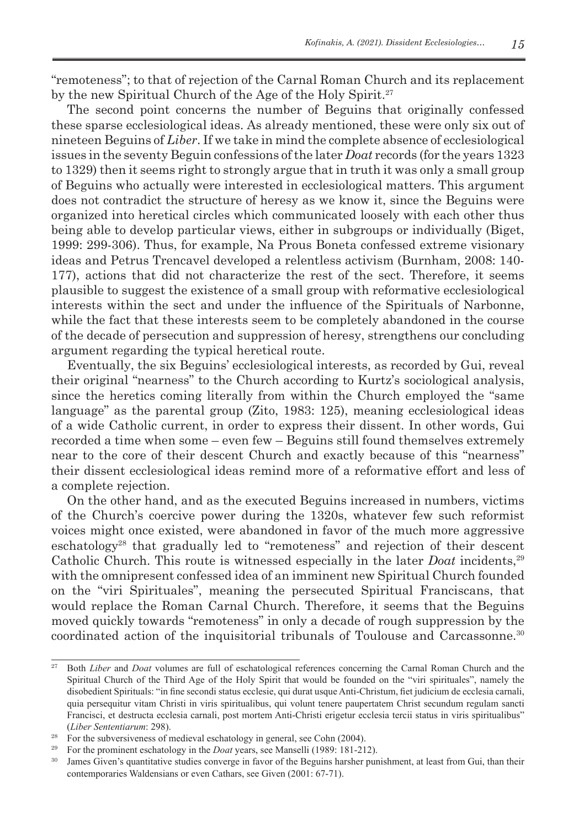"remoteness"; to that of rejection of the Carnal Roman Church and its replacement by the new Spiritual Church of the Age of the Holy Spirit.<sup>27</sup>

The second point concerns the number of Beguins that originally confessed these sparse ecclesiological ideas. As already mentioned, these were only six out of nineteen Beguins of *Liber*. If we take in mind the complete absence of ecclesiological issues in the seventy Beguin confessions of the later *Doat* records (for the years 1323 to 1329) then it seems right to strongly argue that in truth it was only a small group of Beguins who actually were interested in ecclesiological matters. This argument does not contradict the structure of heresy as we know it, since the Beguins were organized into heretical circles which communicated loosely with each other thus being able to develop particular views, either in subgroups or individually (Biget, 1999: 299-306). Thus, for example, Na Prous Boneta confessed extreme visionary ideas and Petrus Trencavel developed a relentless activism (Burnham, 2008: 140- 177), actions that did not characterize the rest of the sect. Therefore, it seems plausible to suggest the existence of a small group with reformative ecclesiological interests within the sect and under the influence of the Spirituals of Narbonne, while the fact that these interests seem to be completely abandoned in the course of the decade of persecution and suppression of heresy, strengthens our concluding argument regarding the typical heretical route.

Eventually, the six Beguins' ecclesiological interests, as recorded by Gui, reveal their original "nearness" to the Church according to Kurtz's sociological analysis, since the heretics coming literally from within the Church employed the "same language" as the parental group (Zito, 1983: 125), meaning ecclesiological ideas of a wide Catholic current, in order to express their dissent. In other words, Gui recorded a time when some – even few – Beguins still found themselves extremely near to the core of their descent Church and exactly because of this "nearness" their dissent ecclesiological ideas remind more of a reformative effort and less of a complete rejection.

On the other hand, and as the executed Beguins increased in numbers, victims of the Church's coercive power during the 1320s, whatever few such reformist voices might once existed, were abandoned in favor of the much more aggressive eschatology28 that gradually led to "remoteness" and rejection of their descent Catholic Church. This route is witnessed especially in the later *Doat* incidents,<sup>29</sup> with the omnipresent confessed idea of an imminent new Spiritual Church founded on the "viri Spirituales", meaning the persecuted Spiritual Franciscans, that would replace the Roman Carnal Church. Therefore, it seems that the Beguins moved quickly towards "remoteness" in only a decade of rough suppression by the coordinated action of the inquisitorial tribunals of Toulouse and Carcassonne.<sup>30</sup>

<sup>&</sup>lt;sup>27</sup> Both *Liber* and *Doat* volumes are full of eschatological references concerning the Carnal Roman Church and the Spiritual Church of the Third Age of the Holy Spirit that would be founded on the "viri spirituales", namely the disobedient Spirituals: "in fine secondi status ecclesie, qui durat usque Anti-Christum, fiet judicium de ecclesia carnali, quia persequitur vitam Christi in viris spiritualibus, qui volunt tenere paupertatem Christ secundum regulam sancti Francisci, et destructa ecclesia carnali, post mortem Anti-Christi erigetur ecclesia tercii status in viris spiritualibus" (*Liber Sententiarum*: 298).

<sup>&</sup>lt;sup>28</sup> For the subversiveness of medieval eschatology in general, see Cohn (2004).

<sup>29</sup>For the prominent eschatology in the *Doat* years, see Manselli (1989: 181-212).

<sup>&</sup>lt;sup>30</sup> James Given's quantitative studies converge in favor of the Beguins harsher punishment, at least from Gui, than their contemporaries Waldensians or even Cathars, see Given (2001: 67-71).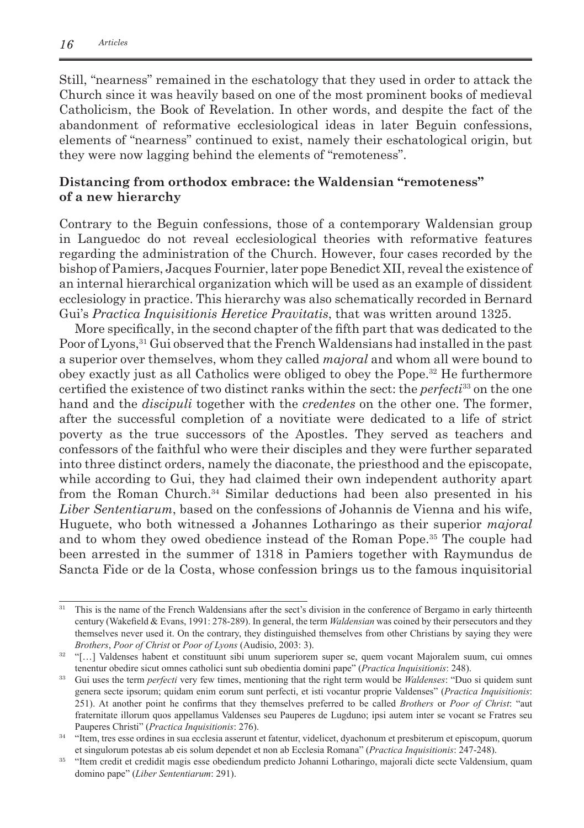Still, "nearness" remained in the eschatology that they used in order to attack the Church since it was heavily based on one of the most prominent books of medieval Catholicism, the Book of Revelation. In other words, and despite the fact of the abandonment of reformative ecclesiological ideas in later Beguin confessions, elements of "nearness" continued to exist, namely their eschatological origin, but they were now lagging behind the elements of "remoteness".

## **Distancing from orthodox embrace: the Waldensian "remoteness" of a new hierarchy**

Contrary to the Beguin confessions, those of a contemporary Waldensian group in Languedoc do not reveal ecclesiological theories with reformative features regarding the administration of the Church. However, four cases recorded by the bishop of Pamiers, Jacques Fournier, later pope Benedict XII, reveal the existence of an internal hierarchical organization which will be used as an example of dissident ecclesiology in practice. This hierarchy was also schematically recorded in Bernard Gui's *Practica Inquisitionis Heretice Pravitatis*, that was written around 1325.

More specifically, in the second chapter of the fifth part that was dedicated to the Poor of Lyons,<sup>31</sup> Gui observed that the French Waldensians had installed in the past a superior over themselves, whom they called *majoral* and whom all were bound to obey exactly just as all Catholics were obliged to obey the Pope. 32 He furthermore certified the existence of two distinct ranks within the sect: the *perfecti*<sup>33</sup> on the one hand and the *discipuli* together with the *credentes* on the other one. The former, after the successful completion of a novitiate were dedicated to a life of strict poverty as the true successors of the Apostles. They served as teachers and confessors of the faithful who were their disciples and they were further separated into three distinct orders, namely the diaconate, the priesthood and the episcopate, while according to Gui, they had claimed their own independent authority apart from the Roman Church.<sup>34</sup> Similar deductions had been also presented in his *Liber Sententiarum*, based on the confessions of Johannis de Vienna and his wife, Huguete, who both witnessed a Johannes Lotharingo as their superior *majoral* and to whom they owed obedience instead of the Roman Pope.35 The couple had been arrested in the summer of 1318 in Pamiers together with Raymundus de Sancta Fide or de la Costa, whose confession brings us to the famous inquisitorial

<sup>&</sup>lt;sup>31</sup> This is the name of the French Waldensians after the sect's division in the conference of Bergamo in early thirteenth century (Wakefield & Evans, 1991: 278-289). In general, the term *Waldensian* was coined by their persecutors and they themselves never used it. On the contrary, they distinguished themselves from other Christians by saying they were *Brothers*, *Poor of Christ* or *Poor of Lyons* (Audisio, 2003: 3).

<sup>&</sup>lt;sup>32</sup> "[...] Valdenses habent et constituunt sibi unum superiorem super se, quem vocant Majoralem suum, cui omnes tenentur obedire sicut omnes catholici sunt sub obedientia domini pape" (*Practica Inquisitionis*: 248).

<sup>&</sup>lt;sup>33</sup> Gui uses the term *perfecti* very few times, mentioning that the right term would be *Waldenses*: "Duo si quidem sunt genera secte ipsorum; quidam enim eorum sunt perfecti, et isti vocantur proprie Valdenses" (*Practica Inquisitionis*: 251). At another point he confirms that they themselves preferred to be called *Brothers* or *Poor of Christ*: "aut fraternitate illorum quos appellamus Valdenses seu Pauperes de Lugduno; ipsi autem inter se vocant se Fratres seu Pauperes Christi" (*Practica Inquisitionis*: 276).

<sup>&</sup>lt;sup>34</sup> "Item, tres esse ordines in sua ecclesia asserunt et fatentur, videlicet, dyachonum et presbiterum et episcopum, quorum et singulorum potestas ab eis solum dependet et non ab Ecclesia Romana" (*Practica Inquisitionis*: 247-248).

<sup>&</sup>lt;sup>35</sup> "Item credit et credidit magis esse obediendum predicto Johanni Lotharingo, majorali dicte secte Valdensium, quam domino pape" (*Liber Sententiarum*: 291).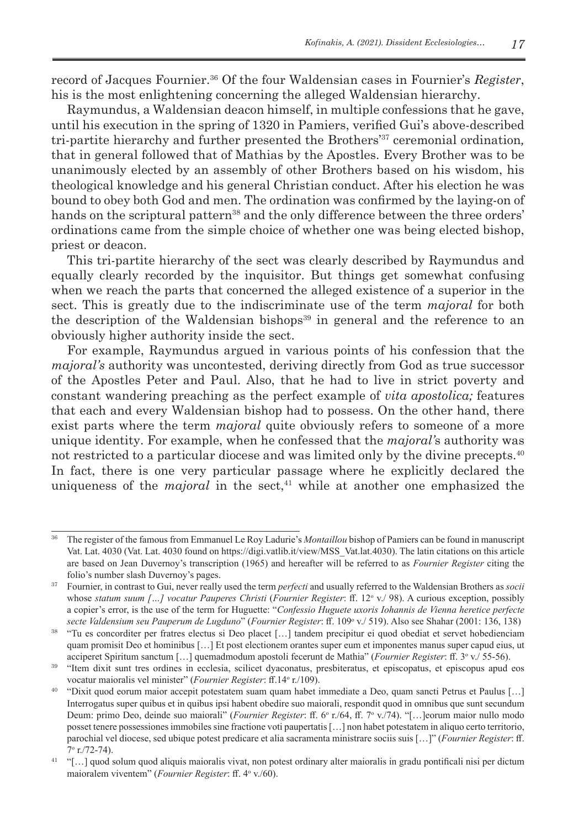record of Jacques Fournier.36 Of the four Waldensian cases in Fournier's *Register*, his is the most enlightening concerning the alleged Waldensian hierarchy.

Raymundus, a Waldensian deacon himself, in multiple confessions that he gave, until his execution in the spring of 1320 in Pamiers, verified Gui's above-described tri-partite hierarchy and further presented the Brothers'37 ceremonial ordination*,* that in general followed that of Mathias by the Apostles. Every Brother was to be unanimously elected by an assembly of other Brothers based on his wisdom, his theological knowledge and his general Christian conduct. After his election he was bound to obey both God and men. The ordination was confirmed by the laying-on of hands on the scriptural pattern<sup>38</sup> and the only difference between the three orders' ordinations came from the simple choice of whether one was being elected bishop, priest or deacon.

This tri-partite hierarchy of the sect was clearly described by Raymundus and equally clearly recorded by the inquisitor. But things get somewhat confusing when we reach the parts that concerned the alleged existence of a superior in the sect. This is greatly due to the indiscriminate use of the term *majoral* for both the description of the Waldensian bishops $39$  in general and the reference to an obviously higher authority inside the sect.

For example, Raymundus argued in various points of his confession that the *majoral's* authority was uncontested, deriving directly from God as true successor of the Apostles Peter and Paul. Also, that he had to live in strict poverty and constant wandering preaching as the perfect example of *vita apostolica;* features that each and every Waldensian bishop had to possess. On the other hand, there exist parts where the term *majoral* quite obviously refers to someone of a more unique identity. For example, when he confessed that the *majoral'*s authority was not restricted to a particular diocese and was limited only by the divine precepts. 40 In fact, there is one very particular passage where he explicitly declared the uniqueness of the *majoral* in the sect, <sup>41</sup> while at another one emphasized the

<sup>36</sup>The register of the famous from Emmanuel Le Roy Ladurie's *Montaillou* bishop of Pamiers can be found in manuscript Vat. Lat. 4030 (Vat. Lat. 4030 found on https://digi.vatlib.it/view/MSS\_Vat.lat.4030). The latin citations on this article are based on Jean Duvernoy's transcription (1965) and hereafter will be referred to as *Fournier Register* citing the folio's number slash Duvernoy's pages.

<sup>37</sup>Fournier, in contrast to Gui, never really used the term *perfecti* and usually referred to the Waldensian Brothers as *socii* whose *statum suum [...] vocatur Pauperes Christi* (*Fournier Register*: ff. 12° v./ 98). A curious exception, possibly a copier's error, is the use of the term for Huguette: "*Confessio Huguete uxoris Iohannis de Vienna heretice perfecte secte Valdensium seu Pauperum de Lugduno*" (*Fournier Register*: ff. 109<sup>o</sup> v./ 519). Also see Shahar (2001: 136, 138)

<sup>38</sup> "Tu es concorditer per fratres electus si Deo placet […] tandem precipitur ei quod obediat et servet hobedienciam quam promisit Deo et hominibus […] Et post electionem orantes super eum et imponentes manus super capud eius, ut acciperet Spiritum sanctum [...] quemadmodum apostoli fecerunt de Mathia" (Fournier Register: ff. 3° v./ 55-56).

<sup>&</sup>lt;sup>39</sup> "Item dixit sunt tres ordines in ecclesia, scilicet dyaconatus, presbiteratus, et episcopatus, et episcopus apud eos vocatur maioralis vel minister" (Fournier Register: ff.14° r./109).

<sup>40</sup>"Dixit quod eorum maior accepit potestatem suam quam habet immediate a Deo, quam sancti Petrus et Paulus […] Interrogatus super quibus et in quibus ipsi habent obedire suo maiorali, respondit quod in omnibus que sunt secundum Deum: primo Deo, deinde suo maiorali" (*Fournier Register*: ff. 6° r./64, ff. 7° v./74). "[...]eorum maior nullo modo posset tenere possessiones immobiles sine fractione voti paupertatis […] non habet potestatem in aliquo certo territorio, parochial vel diocese, sed ubique potest predicare et alia sacramenta ministrare sociis suis […]" (*Fournier Register*: ff. 7o r./72-74).

<sup>&</sup>lt;sup>41</sup> "[...] quod solum quod aliquis maioralis vivat, non potest ordinary alter maioralis in gradu pontificali nisi per dictum maioralem viventem" (Fournier Register: ff. 4° v./60).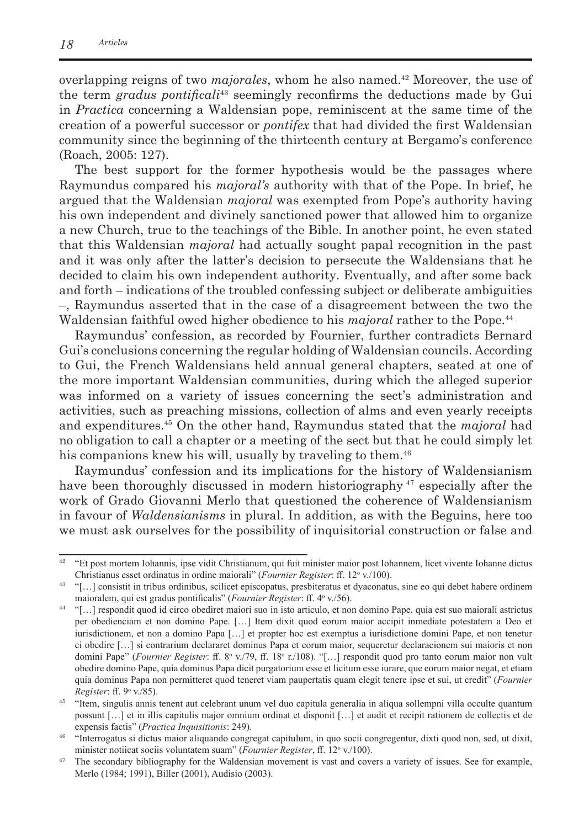overlapping reigns of two *majorales*, whom he also named. <sup>42</sup> Moreover, the use of the term *gradus pontificali*<sup>43</sup> seemingly reconfirms the deductions made by Gui in *Practica* concerning a Waldensian pope, reminiscent at the same time of the creation of a powerful successor or *pontifex* that had divided the first Waldensian community since the beginning of the thirteenth century at Bergamo's conference (Roach, 2005: 127).

The best support for the former hypothesis would be the passages where Raymundus compared his *majoral's* authority with that of the Pope. In brief, he argued that the Waldensian *majoral* was exempted from Pope's authority having his own independent and divinely sanctioned power that allowed him to organize a new Church, true to the teachings of the Bible. In another point, he even stated that this Waldensian *majoral* had actually sought papal recognition in the past and it was only after the latter's decision to persecute the Waldensians that he decided to claim his own independent authority. Eventually, and after some back and forth – indications of the troubled confessing subject or deliberate ambiguities –, Raymundus asserted that in the case of a disagreement between the two the Waldensian faithful owed higher obedience to his *majoral* rather to the Pope.<sup>44</sup>

Raymundus' confession, as recorded by Fournier, further contradicts Bernard Gui's conclusions concerning the regular holding of Waldensian councils. According to Gui, the French Waldensians held annual general chapters, seated at one of the more important Waldensian communities, during which the alleged superior was informed on a variety of issues concerning the sect's administration and activities, such as preaching missions, collection of alms and even yearly receipts and expenditures.45 On the other hand, Raymundus stated that the *majoral* had no obligation to call a chapter or a meeting of the sect but that he could simply let his companions knew his will, usually by traveling to them.<sup>46</sup>

Raymundus' confession and its implications for the history of Waldensianism have been thoroughly discussed in modern historiography <sup>47</sup> especially after the work of Grado Giovanni Merlo that questioned the coherence of Waldensianism in favour of *Waldensianisms* in plural. In addition, as with the Beguins, here too we must ask ourselves for the possibility of inquisitorial construction or false and

<sup>&</sup>lt;sup>42</sup> "Et post mortem Iohannis, ipse vidit Christianum, qui fuit minister maior post Iohannem, licet vivente Iohanne dictus Christianus esset ordinatus in ordine maiorali" (Fournier Register: ff. 12° v./100).

<sup>&</sup>lt;sup>43</sup> "[...] consistit in tribus ordinibus, scilicet episcopatus, presbiteratus et dyaconatus, sine eo qui debet habere ordinem maioralem, qui est gradus pontificalis" (Fournier Register: ff. 4° v./56).

<sup>&</sup>lt;sup>44</sup> "[...] respondit quod id circo obediret maiori suo in isto articulo, et non domino Pape, quia est suo maiorali astrictus per obedienciam et non domino Pape. […] Item dixit quod eorum maior accipit inmediate potestatem a Deo et iurisdictionem, et non a domino Papa […] et propter hoc est exemptus a iurisdictione domini Pape, et non tenetur ei obedire […] si contrarium declararet dominus Papa et eorum maior, sequeretur declaracionem sui maioris et non domini Pape" (*Fournier Register*: ff. 8° v./79, ff. 18° r./108). "[...] respondit quod pro tanto eorum maior non vult obedire domino Pape, quia dominus Papa dicit purgatorium esse et licitum esse iurare, que eorum maior negat, et etiam quia dominus Papa non permitteret quod teneret viam paupertatis quam elegit tenere ipse et sui, ut credit" (*Fournier Register*: ff. 9<sup>o</sup> v./85).

<sup>45</sup>"Item, singulis annis tenent aut celebrant unum vel duo capitula generalia in aliqua sollempni villa occulte quantum possunt […] et in illis capitulis major omnium ordinat et disponit […] et audit et recipit rationem de collectis et de expensis factis" (*Practica Inquisitionis*: 249).

<sup>46</sup>"Interrogatus si dictus maior aliquando congregat capitulum, in quo socii congregentur, dixti quod non, sed, ut dixit, minister notiicat sociis voluntatem suam" (*Fournier Register*, ff. 12° v./100).

<sup>&</sup>lt;sup>47</sup> The secondary bibliography for the Waldensian movement is vast and covers a variety of issues. See for example, Merlo (1984; 1991), Biller (2001), Audisio (2003).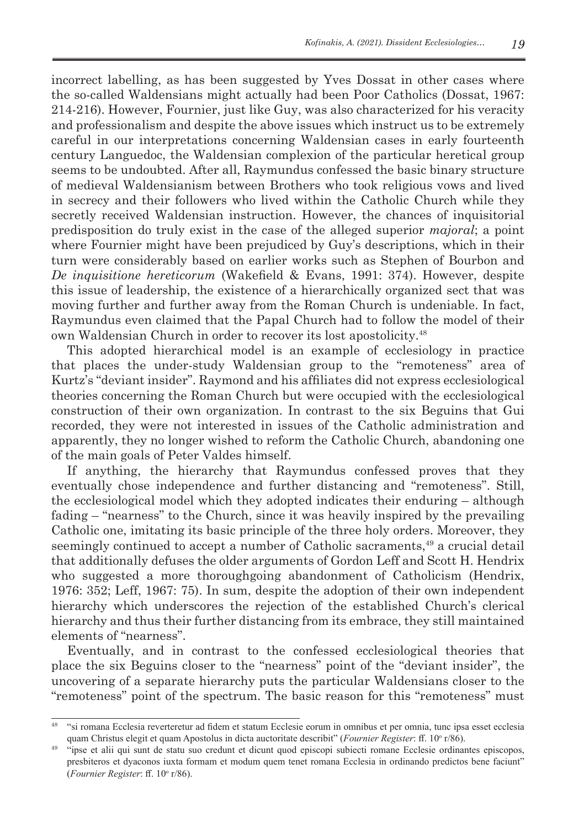incorrect labelling, as has been suggested by Yves Dossat in other cases where the so-called Waldensians might actually had been Poor Catholics (Dossat, 1967: 214-216). However, Fournier, just like Guy, was also characterized for his veracity and professionalism and despite the above issues which instruct us to be extremely careful in our interpretations concerning Waldensian cases in early fourteenth century Languedoc, the Waldensian complexion of the particular heretical group seems to be undoubted. After all, Raymundus confessed the basic binary structure of medieval Waldensianism between Brothers who took religious vows and lived in secrecy and their followers who lived within the Catholic Church while they secretly received Waldensian instruction. However, the chances of inquisitorial predisposition do truly exist in the case of the alleged superior *majoral*; a point where Fournier might have been prejudiced by Guy's descriptions, which in their turn were considerably based on earlier works such as Stephen of Bourbon and *De inquisitione hereticorum* (Wakefield & Evans, 1991: 374). However, despite this issue of leadership, the existence of a hierarchically organized sect that was moving further and further away from the Roman Church is undeniable. In fact, Raymundus even claimed that the Papal Church had to follow the model of their own Waldensian Church in order to recover its lost apostolicity.48

This adopted hierarchical model is an example of ecclesiology in practice that places the under-study Waldensian group to the "remoteness" area of Kurtz's "deviant insider". Raymond and his affiliates did not express ecclesiological theories concerning the Roman Church but were occupied with the ecclesiological construction of their own organization. In contrast to the six Beguins that Gui recorded, they were not interested in issues of the Catholic administration and apparently, they no longer wished to reform the Catholic Church, abandoning one of the main goals of Peter Valdes himself.

If anything, the hierarchy that Raymundus confessed proves that they eventually chose independence and further distancing and "remoteness". Still, the ecclesiological model which they adopted indicates their enduring – although fading – "nearness" to the Church, since it was heavily inspired by the prevailing Catholic one, imitating its basic principle of the three holy orders. Moreover, they seemingly continued to accept a number of Catholic sacraments,49 a crucial detail that additionally defuses the older arguments of Gordon Leff and Scott H. Hendrix who suggested a more thoroughgoing abandonment of Catholicism (Hendrix, 1976: 352; Leff, 1967: 75). In sum, despite the adoption of their own independent hierarchy which underscores the rejection of the established Church's clerical hierarchy and thus their further distancing from its embrace, they still maintained elements of "nearness".

Eventually, and in contrast to the confessed ecclesiological theories that place the six Beguins closer to the "nearness" point of the "deviant insider", the uncovering of a separate hierarchy puts the particular Waldensians closer to the "remoteness" point of the spectrum. The basic reason for this "remoteness" must

<sup>48</sup>"si romana Ecclesia reverteretur ad fidem et statum Ecclesie eorum in omnibus et per omnia, tunc ipsa esset ecclesia quam Christus elegit et quam Apostolus in dicta auctoritate describit" (*Fournier Register*: ff. 10° r/86).

<sup>49</sup>"ipse et alii qui sunt de statu suo credunt et dicunt quod episcopi subiecti romane Ecclesie ordinantes episcopos, presbiteros et dyaconos iuxta formam et modum quem tenet romana Ecclesia in ordinando predictos bene faciunt" (Fournier Register: ff. 10° r/86).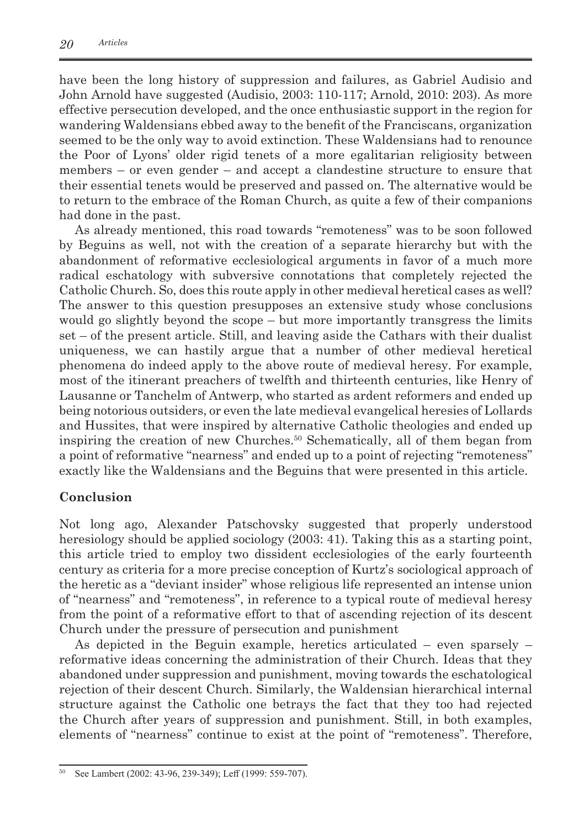have been the long history of suppression and failures, as Gabriel Audisio and John Arnold have suggested (Audisio, 2003: 110-117; Arnold, 2010: 203). As more effective persecution developed, and the once enthusiastic support in the region for wandering Waldensians ebbed away to the benefit of the Franciscans, organization seemed to be the only way to avoid extinction. These Waldensians had to renounce the Poor of Lyons' older rigid tenets of a more egalitarian religiosity between members – or even gender – and accept a clandestine structure to ensure that their essential tenets would be preserved and passed on. The alternative would be to return to the embrace of the Roman Church, as quite a few of their companions had done in the past.

As already mentioned, this road towards "remoteness" was to be soon followed by Beguins as well, not with the creation of a separate hierarchy but with the abandonment of reformative ecclesiological arguments in favor of a much more radical eschatology with subversive connotations that completely rejected the Catholic Church. So, does this route apply in other medieval heretical cases as well? The answer to this question presupposes an extensive study whose conclusions would go slightly beyond the scope – but more importantly transgress the limits set – of the present article. Still, and leaving aside the Cathars with their dualist uniqueness, we can hastily argue that a number of other medieval heretical phenomena do indeed apply to the above route of medieval heresy. For example, most of the itinerant preachers of twelfth and thirteenth centuries, like Henry of Lausanne or Tanchelm of Antwerp, who started as ardent reformers and ended up being notorious outsiders, or even the late medieval evangelical heresies of Lollards and Hussites, that were inspired by alternative Catholic theologies and ended up inspiring the creation of new Churches.50 Schematically, all of them began from a point of reformative "nearness" and ended up to a point of rejecting "remoteness" exactly like the Waldensians and the Beguins that were presented in this article.

## **Conclusion**

Not long ago, Alexander Patschovsky suggested that properly understood heresiology should be applied sociology (2003: 41). Taking this as a starting point, this article tried to employ two dissident ecclesiologies of the early fourteenth century as criteria for a more precise conception of Kurtz's sociological approach of the heretic as a "deviant insider" whose religious life represented an intense union of "nearness" and "remoteness", in reference to a typical route of medieval heresy from the point of a reformative effort to that of ascending rejection of its descent Church under the pressure of persecution and punishment

As depicted in the Beguin example, heretics articulated – even sparsely – reformative ideas concerning the administration of their Church. Ideas that they abandoned under suppression and punishment, moving towards the eschatological rejection of their descent Church. Similarly, the Waldensian hierarchical internal structure against the Catholic one betrays the fact that they too had rejected the Church after years of suppression and punishment. Still, in both examples, elements of "nearness" continue to exist at the point of "remoteness". Therefore,

See Lambert (2002: 43-96, 239-349); Leff (1999: 559-707).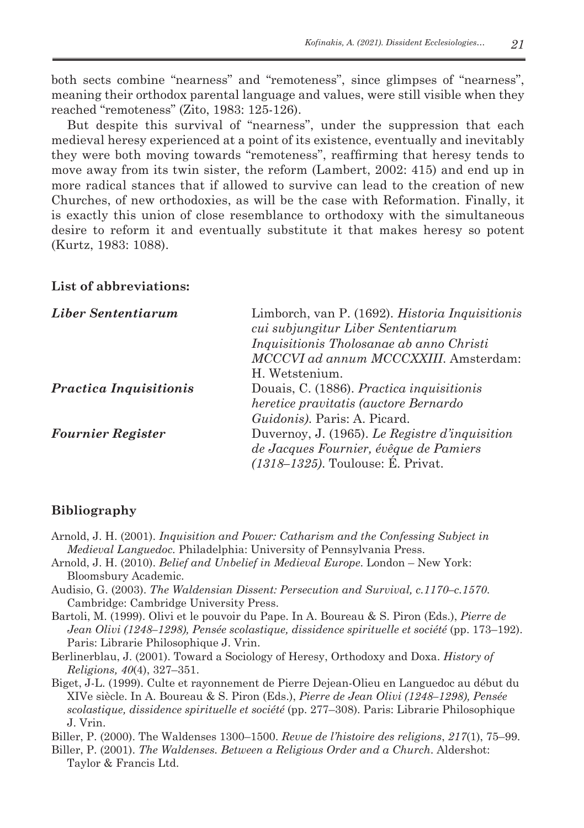both sects combine "nearness" and "remoteness", since glimpses of "nearness", meaning their orthodox parental language and values, were still visible when they reached "remoteness" (Zito, 1983: 125-126).

But despite this survival of "nearness", under the suppression that each medieval heresy experienced at a point of its existence, eventually and inevitably they were both moving towards "remoteness", reaffirming that heresy tends to move away from its twin sister, the reform (Lambert, 2002: 415) and end up in more radical stances that if allowed to survive can lead to the creation of new Churches, of new orthodoxies, as will be the case with Reformation. Finally, it is exactly this union of close resemblance to orthodoxy with the simultaneous desire to reform it and eventually substitute it that makes heresy so potent (Kurtz, 1983: 1088).

## **List of abbreviations:**

| Liber Sententiarum            | Limborch, van P. (1692). Historia Inquisitionis |
|-------------------------------|-------------------------------------------------|
|                               | cui subjungitur Liber Sententiarum              |
|                               | <i>Inquisitionis Tholosanae ab anno Christi</i> |
|                               | MCCCVI ad annum MCCCXXIII. Amsterdam:           |
|                               | H. Wetstenium.                                  |
| <b>Practica Inquisitionis</b> | Douais, C. (1886). Practica inquisitionis       |
|                               | heretice pravitatis (auctore Bernardo           |
|                               | <i>Guidonis</i> ). Paris: A. Picard.            |
| <b>Fournier Register</b>      | Duvernoy, J. (1965). Le Registre d'inquisition  |
|                               | de Jacques Fournier, évêque de Pamiers          |
|                               | $(1318-1325)$ . Toulouse: E. Privat.            |

## **Bibliography**

- Arnold, J. H. (2001). *Inquisition and Power: Catharism and the Confessing Subject in Medieval Languedoc.* Philadelphia: University of Pennsylvania Press.
- Arnold, J. H. (2010). *Belief and Unbelief in Medieval Europe*. London New York: Bloomsbury Academic.
- Audisio, G. (2003). *The Waldensian Dissent: Persecution and Survival, c.1170–c.1570*. Cambridge: Cambridge University Press.
- Bartoli, M. (1999). Olivi et le pouvoir du Pape. In A. Boureau & S. Piron (Eds.), *Pierre de Jean Olivi (1248–1298), Pensée scolastique, dissidence spirituelle et société (pp. 173–192).* Paris: Librarie Philosophique J. Vrin.
- Berlinerblau, J. (2001). Toward a Sociology of Heresy, Orthodoxy and Doxa. *History of Religions, 40*(4), 327–351.
- Biget, J-L. (1999). Culte et rayonnement de Pierre Dejean-Olieu en Languedoc au début du XIVe siècle. In A. Boureau & S. Piron (Eds.), *Pierre de Jean Olivi (1248–1298), Pensée scolastique, dissidence spirituelle et société* (pp. 277–308). Paris: Librarie Philosophique J. Vrin.
- Biller, P. (2000). The Waldenses 1300–1500. *Revue de l'histoire des religions*, *217*(1), 75–99.
- Biller, P. (2001). *The Waldenses. Between a Religious Order and a Church*. Aldershot: Taylor & Francis Ltd.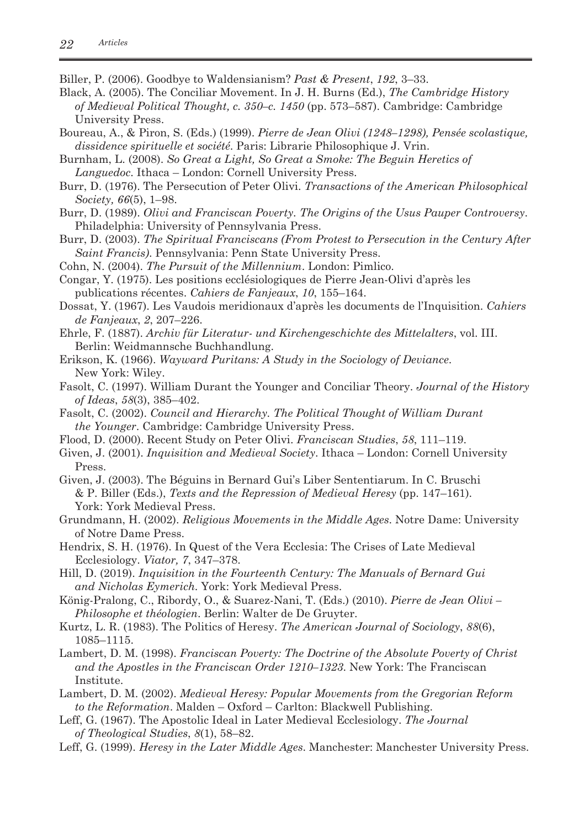Biller, P. (2006). Goodbye to Waldensianism? *Past & Present*, *192*, 3–33.

- Black, A. (2005). The Conciliar Movement. In J. H. Burns (Ed.), *The Cambridge History of Medieval Political Thought, c. 350–c. 1450* (pp. 573–587). Cambridge: Cambridge University Press.
- Boureau, A., & Piron, S. (Eds.) (1999). *Pierre de Jean Olivi (1248–1298), Pensée scolastique, dissidence spirituelle et société*. Paris: Librarie Philosophique J. Vrin.
- Burnham, L. (2008). *So Great a Light, So Great a Smoke: The Beguin Heretics of Languedoc*. Ithaca – London: Cornell University Press.
- Burr, D. (1976). The Persecution of Peter Olivi. *Transactions of the American Philosophical Society, 66*(5), 1–98.
- Burr, D. (1989). *Olivi and Franciscan Poverty. The Origins of the Usus Pauper Controversy*. Philadelphia: University of Pennsylvania Press.
- Burr, D. (2003). *The Spiritual Franciscans (From Protest to Persecution in the Century After Saint Francis)*. Pennsylvania: Penn State University Press.
- Cohn, N. (2004). *The Pursuit of the Millennium*. London: Pimlico.
- Congar, Y. (1975). Les positions ecclésiologiques de Pierre Jean-Olivi d'après les publications récentes. *Cahiers de Fanjeaux*, *10*, 155–164.
- Dossat, Y. (1967). Les Vaudois meridionaux d'après les documents de l'Inquisition. *Cahiers de Fanjeaux*, *2*, 207–226.
- Ehrle, F. (1887). *Archiv für Literatur- und Kirchengeschichte des Mittelalters*, vol. III. Berlin: Weidmannsche Buchhandlung.
- Erikson, K. (1966). *Wayward Puritans: A Study in the Sociology of Deviance*. New York: Wiley.
- Fasolt, C. (1997). William Durant the Younger and Conciliar Theory. *Journal of the History of Ideas*, *58*(3), 385–402.
- Fasolt, C. (2002). *Council and Hierarchy. The Political Thought of William Durant the Younger*. Cambridge: Cambridge University Press.
- Flood, D. (2000). Recent Study on Peter Olivi. *Franciscan Studies*, *58*, 111–119.
- Given, J. (2001). *Inquisition and Medieval Society*. Ithaca London: Cornell University Press.
- Given, J. (2003). The Béguins in Bernard Gui's Liber Sententiarum. In C. Bruschi & P. Biller (Eds.), *Texts and the Repression of Medieval Heresy* (pp. 147–161). York: York Medieval Press.
- Grundmann, H. (2002). *Religious Movements in the Middle Ages*. Notre Dame: University of Notre Dame Press.
- Hendrix, S. H. (1976). In Quest of the Vera Ecclesia: The Crises of Late Medieval Ecclesiology. *Viator, 7*, 347–378.
- Hill, D. (2019). *Inquisition in the Fourteenth Century: The Manuals of Bernard Gui and Nicholas Eymerich.* York: York Medieval Press.
- König-Pralong, C., Ribordy, O., & Suarez-Nani, T. (Eds.) (2010). *Pierre de Jean Olivi Philosophe et théologien*. Berlin: Walter de De Gruyter.
- Kurtz, L. R. (1983). The Politics of Heresy. *The American Journal of Sociology*, *88*(6), 1085–1115.
- Lambert, D. M. (1998). *Franciscan Poverty: The Doctrine of the Absolute Poverty of Christ and the Apostles in the Franciscan Order 1210–1323*. New York: The Franciscan Institute.
- Lambert, D. M. (2002). *Medieval Heresy: Popular Movements from the Gregorian Reform to the Reformation*. Malden – Oxford – Carlton: Blackwell Publishing.
- Leff, G. (1967). The Apostolic Ideal in Later Medieval Ecclesiology. *The Journal of Theological Studies*, *8*(1), 58–82.
- Leff, G. (1999). *Heresy in the Later Middle Ages*. Manchester: Manchester University Press.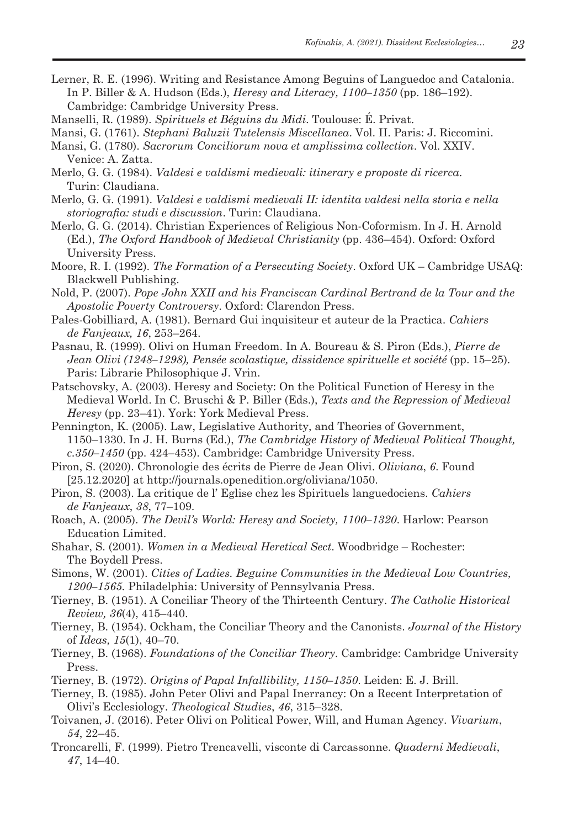- Lerner, R. E. (1996). Writing and Resistance Among Beguins of Languedoc and Catalonia. In P. Biller & A. Hudson (Eds.), *Heresy and Literacy, 1100–1350* (pp. 186–192). Cambridge: Cambridge University Press.
- Manselli, R. (1989). *Spirituels et Béguins du Midi*. Toulouse: É. Privat.
- Mansi, G. (1761). *Stephani Baluzii Tutelensis Miscellanea*. Vol. II. Paris: J. Riccomini.
- Mansi, G. (1780). *Sacrorum Conciliorum nova et amplissima collection*. Vol. XXIV. Venice: A. Zatta.
- Merlo, G. G. (1984). *Valdesi e valdismi medievali: itinerary e proposte di ricerca*. Turin: Claudiana.
- Merlo, G. G. (1991). *Valdesi e valdismi medievali II: identita valdesi nella storia e nella storiografia: studi e discussion*. Turin: Claudiana.
- Merlo, G. G. (2014). Christian Experiences of Religious Non-Coformism. In J. H. Arnold (Ed.), *The Oxford Handbook of Medieval Christianity* (pp. 436–454). Oxford: Oxford University Press.
- Moore, R. I. (1992). *The Formation of a Persecuting Society*. Oxford UK Cambridge USAQ: Blackwell Publishing.
- Nold, P. (2007). *Pope John XXII and his Franciscan Cardinal Bertrand de la Tour and the Apostolic Poverty Controversy*. Oxford: Clarendon Press.
- Pales-Gobilliard, A. (1981). Bernard Gui inquisiteur et auteur de la Practica. *Cahiers de Fanjeaux, 16*, 253–264.
- Pasnau, R. (1999). Olivi on Human Freedom. In A. Boureau & S. Piron (Eds.), *Pierre de Jean Olivi (1248–1298), Pensée scolastique, dissidence spirituelle et société (pp. 15–25).* Paris: Librarie Philosophique J. Vrin.
- Patschovsky, A. (2003). Heresy and Society: On the Political Function of Heresy in the Medieval World. In C. Bruschi & P. Biller (Eds.), *Texts and the Repression of Medieval Heresy* (pp. 23–41). York: York Medieval Press.
- Pennington, K. (2005). Law, Legislative Authority, and Theories of Government, 1150–1330. In J. H. Burns (Ed.), *The Cambridge History of Medieval Political Thought, c.350–1450* (pp. 424–453). Cambridge: Cambridge University Press.
- Piron, S. (2020). Chronologie des écrits de Pierre de Jean Olivi. *Oliviana*, *6*. Found [25.12.2020] at http://journals.openedition.org/oliviana/1050.
- Piron, S. (2003). La critique de l' Eglise chez les Spirituels languedociens. *Cahiers de Fanjeaux*, *38*, 77–109.
- Roach, A. (2005). *The Devil's World: Heresy and Society, 1100–1320*. Harlow: Pearson Education Limited.
- Shahar, S. (2001). *Women in a Medieval Heretical Sect*. Woodbridge Rochester: The Boydell Press.
- Simons, W. (2001). *Cities of Ladies. Beguine Communities in the Medieval Low Countries, 1200–1565.* Philadelphia: University of Pennsylvania Press.
- Tierney, B. (1951). A Conciliar Theory of the Thirteenth Century. *The Catholic Historical Review, 36*(4), 415–440.
- Tierney, B. (1954). Ockham, the Conciliar Theory and the Canonists. *Journal of the History* of *Ideas, 15*(1), 40–70.
- Tierney, B. (1968). *Foundations of the Conciliar Theory*. Cambridge: Cambridge University Press.
- Tierney, B. (1972). *Origins of Papal Infallibility, 1150–1350*. Leiden: E. J. Brill.
- Tierney, B. (1985). John Peter Olivi and Papal Inerrancy: On a Recent Interpretation of Olivi's Ecclesiology. *Theological Studies*, *46*, 315–328.
- Toivanen, J. (2016). Peter Olivi on Political Power, Will, and Human Agency. *Vivarium*, *54*, 22–45.
- Troncarelli, F. (1999). Pietro Trencavelli, visconte di Carcassonne. *Quaderni Medievali*, *47*, 14–40.